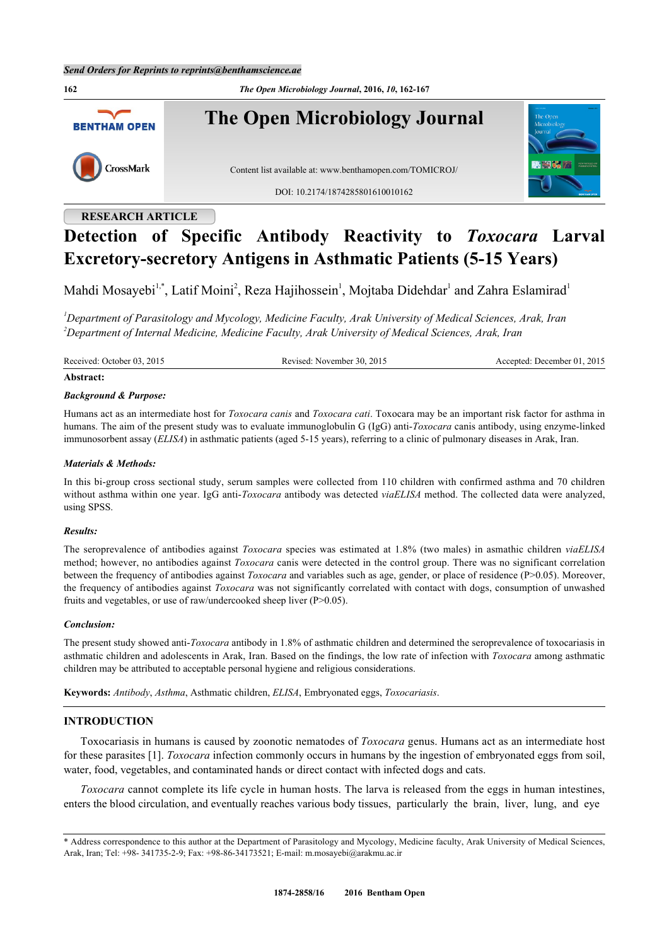**162** *The Open Microbiology Journal***, 2016,** *10***, 162-167 The Open Microbiology Journal BENTHAM OPEN** CrossMark Content list available at: [www.benthamopen.com/TOMICROJ/](http://www.benthamopen.com/TOMICROJ/) DOI: [10.2174/1874285801610010162](http://dx.doi.org/10.2174/1874285801610010162)

## **RESEARCH ARTICLE**

# **Detection of Specific Antibody Reactivity to** *Toxocara* **Larval Excretory-secretory Antigens in Asthmatic Patients (5-15 Years)**

Mahdi Mosayebi<sup>[1,](#page-0-0)[\\*](#page-0-1)</sup>, Latif Moini<sup>[2](#page-0-2)</sup>, Reza Hajihossein<sup>[1](#page-0-0)</sup>, Mojtaba Didehdar<sup>1</sup> and Zahra Eslamirad<sup>1</sup>

<span id="page-0-2"></span><span id="page-0-0"></span>*<sup>1</sup>Department of Parasitology and Mycology, Medicine Faculty, Arak University of Medical Sciences, Arak, Iran <sup>2</sup>Department of Internal Medicine, Medicine Faculty, Arak University of Medical Sciences, Arak, Iran*

Received: October 03, 2015 Revised: November 30, 2015 Accepted: December 01, 2015

## **Abstract:**

## *Background & Purpose:*

Humans act as an intermediate host for *Toxocara canis* and *Toxocara cati*. Toxocara may be an important risk factor for asthma in humans. The aim of the present study was to evaluate immunoglobulin G (IgG) anti-*Toxocara* canis antibody, using enzyme-linked immunosorbent assay (*ELISA*) in asthmatic patients (aged 5-15 years), referring to a clinic of pulmonary diseases in Arak, Iran.

## *Materials & Methods:*

In this bi-group cross sectional study, serum samples were collected from 110 children with confirmed asthma and 70 children without asthma within one year. IgG anti-*Toxocara* antibody was detected *viaELISA* method. The collected data were analyzed, using SPSS.

## *Results:*

The seroprevalence of antibodies against *Toxocara* species was estimated at 1.8% (two males) in asmathic children *viaELISA* method; however, no antibodies against *Toxocara* canis were detected in the control group. There was no significant correlation between the frequency of antibodies against *Toxocara* and variables such as age, gender, or place of residence (P>0.05). Moreover, the frequency of antibodies against *Toxocara* was not significantly correlated with contact with dogs, consumption of unwashed fruits and vegetables, or use of raw/undercooked sheep liver (P>0.05).

## *Conclusion:*

The present study showed anti-*Toxocara* antibody in 1.8% of asthmatic children and determined the seroprevalence of toxocariasis in asthmatic children and adolescents in Arak, Iran. Based on the findings, the low rate of infection with *Toxocara* among asthmatic children may be attributed to acceptable personal hygiene and religious considerations.

**Keywords:** *Antibody*, *Asthma*, Asthmatic children, *ELISA*, Embryonated eggs, *Toxocariasis*.

## **INTRODUCTION**

Toxocariasis in humans is caused by zoonotic nematodes of *Toxocara* genus. Humans act as an intermediate host for these parasites [\[1](#page-3-0)]. *Toxocara* infection commonly occurs in humans by the ingestion of embryonated eggs from soil, water, food, vegetables, and contaminated hands or direct contact with infected dogs and cats.

*Toxocara* cannot complete its life cycle in human hosts. The larva is released from the eggs in human intestines, enters the blood circulation, and eventually reaches various body tissues, particularly the brain, liver, lung, and eye

<span id="page-0-1"></span><sup>\*</sup> Address correspondence to this author at the Department of Parasitology and Mycology, Medicine faculty, Arak University of Medical Sciences, Arak, Iran; Tel: +98- 341735-2-9; Fax: +98-86-34173521; E-mail: [m.mosayebi@arakmu.ac.ir](mailto:m.mosayebi@arakmu.ac.ir)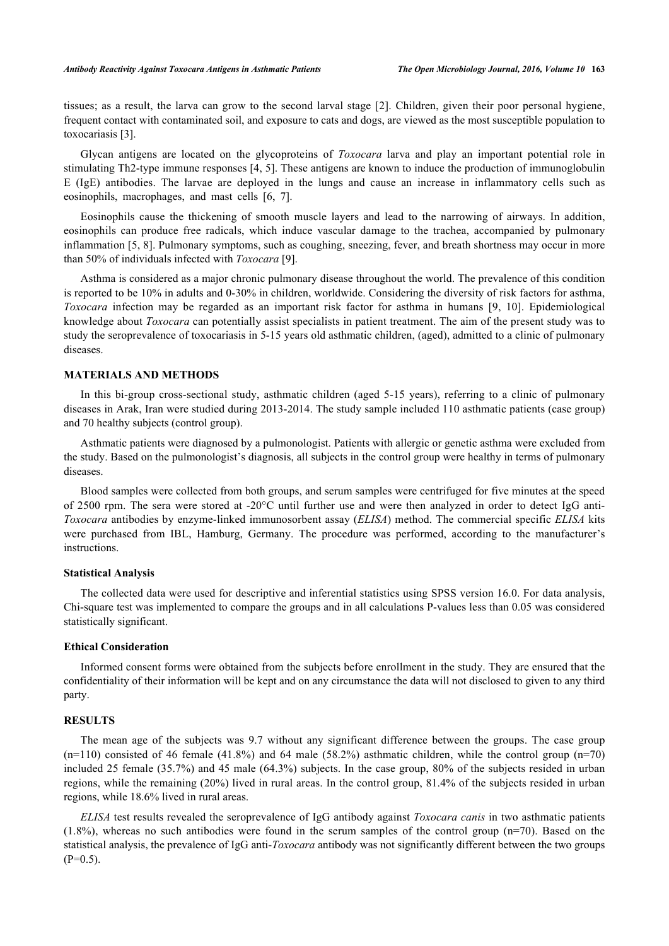tissues; as a result, the larva can grow to the second larval stage [\[2\]](#page-3-1). Children, given their poor personal hygiene, frequent contact with contaminated soil, and exposure to cats and dogs, are viewed as the most susceptible population to toxocariasis [\[3](#page-3-2)].

Glycan antigens are located on the glycoproteins of *Toxocara* larva and play an important potential role in stimulating Th2-type immune responses [[4,](#page-3-3) [5](#page-4-0)]. These antigens are known to induce the production of immunoglobulin E (IgE) antibodies. The larvae are deployed in the lungs and cause an increase in inflammatory cells such as eosinophils, macrophages, and mast cells[[6,](#page-4-1) [7\]](#page-4-2).

Eosinophils cause the thickening of smooth muscle layers and lead to the narrowing of airways. In addition, eosinophils can produce free radicals, which induce vascular damage to the trachea, accompanied by pulmonary inflammation [\[5](#page-4-0), [8\]](#page-4-3). Pulmonary symptoms, such as coughing, sneezing, fever, and breath shortness may occur in more than 50% of individuals infected with *Toxocara* [\[9](#page-4-4)].

Asthma is considered as a major chronic pulmonary disease throughout the world. The prevalence of this condition is reported to be 10% in adults and 0-30% in children, worldwide. Considering the diversity of risk factors for asthma, *Toxocara* infection may be regarded as an important risk factor for asthma in humans [\[9](#page-4-4), [10\]](#page-4-5). Epidemiological knowledge about *Toxocara* can potentially assist specialists in patient treatment. The aim of the present study was to study the seroprevalence of toxocariasis in 5-15 years old asthmatic children, (aged), admitted to a clinic of pulmonary diseases.

## **MATERIALS AND METHODS**

In this bi-group cross-sectional study, asthmatic children (aged 5-15 years), referring to a clinic of pulmonary diseases in Arak, Iran were studied during 2013-2014. The study sample included 110 asthmatic patients (case group) and 70 healthy subjects (control group).

Asthmatic patients were diagnosed by a pulmonologist. Patients with allergic or genetic asthma were excluded from the study. Based on the pulmonologist's diagnosis, all subjects in the control group were healthy in terms of pulmonary diseases.

Blood samples were collected from both groups, and serum samples were centrifuged for five minutes at the speed of 2500 rpm. The sera were stored at -20°C until further use and were then analyzed in order to detect IgG anti-*Toxocara* antibodies by enzyme-linked immunosorbent assay (*ELISA*) method. The commercial specific *ELISA* kits were purchased from IBL, Hamburg, Germany. The procedure was performed, according to the manufacturer's instructions.

## **Statistical Analysis**

The collected data were used for descriptive and inferential statistics using SPSS version 16.0. For data analysis, Chi-square test was implemented to compare the groups and in all calculations P-values less than 0.05 was considered statistically significant.

#### **Ethical Consideration**

Informed consent forms were obtained from the subjects before enrollment in the study. They are ensured that the confidentiality of their information will be kept and on any circumstance the data will not disclosed to given to any third party.

## **RESULTS**

The mean age of the subjects was 9.7 without any significant difference between the groups. The case group (n=110) consisted of 46 female (41.8%) and 64 male (58.2%) asthmatic children, while the control group (n=70) included 25 female (35.7%) and 45 male (64.3%) subjects. In the case group, 80% of the subjects resided in urban regions, while the remaining (20%) lived in rural areas. In the control group, 81.4% of the subjects resided in urban regions, while 18.6% lived in rural areas.

*ELISA* test results revealed the seroprevalence of IgG antibody against *Toxocara canis* in two asthmatic patients (1.8%), whereas no such antibodies were found in the serum samples of the control group (n=70). Based on the statistical analysis, the prevalence of IgG anti-*Toxocara* antibody was not significantly different between the two groups  $(P=0.5)$ .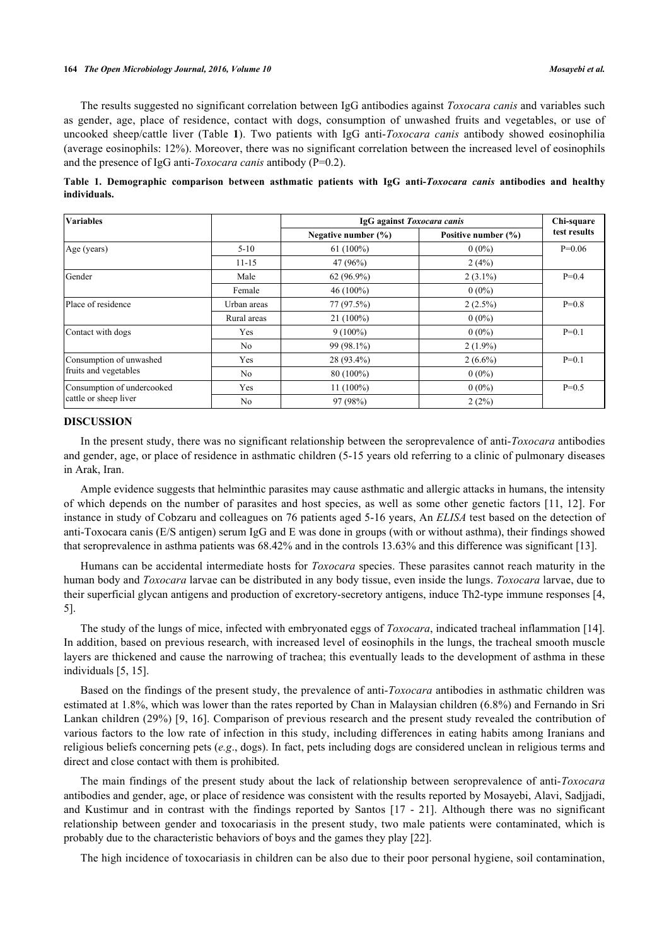#### **164** *The Open Microbiology Journal, 2016, Volume 10 Mosayebi et al.*

The results suggested no significant correlation between IgG antibodies against *Toxocara canis* and variables such as gender, age, place of residence, contact with dogs, consumption of unwashed fruits and vegetables, or use of uncooked sheep/cattle liver (Table**1**). Two patients with IgG anti-*Toxocara canis* antibody showed eosinophilia (average eosinophils: 12%). Moreover, there was no significant correlation between the increased level of eosinophils and the presence of IgG anti-*Toxocara canis* antibody (P=0.2).

<span id="page-2-0"></span>**Table 1. Demographic comparison between asthmatic patients with IgG anti-***Toxocara canis* **antibodies and healthy individuals.**

| <b>Variables</b>                                    |             | IgG against Toxocara canis |                     | Chi-square   |
|-----------------------------------------------------|-------------|----------------------------|---------------------|--------------|
|                                                     |             | Negative number $(\% )$    | Positive number (%) | test results |
| Age (years)                                         | $5-10$      | $61(100\%)$                | $0(0\%)$            | $P=0.06$     |
|                                                     | $11 - 15$   | 47 (96%)                   | 2(4%)               |              |
| Gender                                              | Male        | 62 (96.9%)                 | $2(3.1\%)$          | $P=0.4$      |
|                                                     | Female      | 46 (100%)                  | $0(0\%)$            |              |
| Place of residence                                  | Urban areas | 77 (97.5%)                 | $2(2.5\%)$          | $P=0.8$      |
|                                                     | Rural areas | $21(100\%)$                | $0(0\%)$            |              |
| Contact with dogs                                   | Yes         | $9(100\%)$                 | $0(0\%)$            | $P=0.1$      |
|                                                     | No          | 99 (98.1%)                 | $2(1.9\%)$          |              |
| Consumption of unwashed<br>fruits and vegetables    | Yes         | 28 (93.4%)                 | $2(6.6\%)$          | $P=0.1$      |
|                                                     | No          | 80 (100%)                  | $0(0\%)$            |              |
| Consumption of undercooked<br>cattle or sheep liver | Yes         | $11(100\%)$                | $0(0\%)$            | $P=0.5$      |
|                                                     | No          | 97 (98%)                   | 2(2%)               |              |

#### **DISCUSSION**

In the present study, there was no significant relationship between the seroprevalence of anti-*Toxocara* antibodies and gender, age, or place of residence in asthmatic children (5-15 years old referring to a clinic of pulmonary diseases in Arak, Iran.

Ample evidence suggests that helminthic parasites may cause asthmatic and allergic attacks in humans, the intensity of which depends on the number of parasites and host species, as well as some other genetic factors [\[11,](#page-4-6) [12\]](#page-4-7). For instance in study of Cobzaru and colleagues on 76 patients aged 5-16 years, An *ELISA* test based on the detection of anti-Toxocara canis (E/S antigen) serum IgG and E was done in groups (with or without asthma), their findings showed that seroprevalence in asthma patients was 68.42% and in the controls 13.63% and this difference was significant [[13\]](#page-4-8).

Humans can be accidental intermediate hosts for *Toxocara* species. These parasites cannot reach maturity in the human body and *Toxocara* larvae can be distributed in any body tissue, even inside the lungs. *Toxocara* larvae, due to their superficial glycan antigens and production of excretory-secretory antigens, induce Th2-type immune responses [\[4](#page-3-3), [5\]](#page-4-0).

The study of the lungs of mice, infected with embryonated eggs of *Toxocara*, indicated tracheal inflammation [[14\]](#page-4-9). In addition, based on previous research, with increased level of eosinophils in the lungs, the tracheal smooth muscle layers are thickened and cause the narrowing of trachea; this eventually leads to the development of asthma in these individuals [[5,](#page-4-0) [15\]](#page-4-10).

Based on the findings of the present study, the prevalence of anti-*Toxocara* antibodies in asthmatic children was estimated at 1.8%, which was lower than the rates reported by Chan in Malaysian children (6.8%) and Fernando in Sri Lankan children (29%) [[9,](#page-4-4) [16\]](#page-4-11). Comparison of previous research and the present study revealed the contribution of various factors to the low rate of infection in this study, including differences in eating habits among Iranians and religious beliefs concerning pets (*e.g*., dogs). In fact, pets including dogs are considered unclean in religious terms and direct and close contact with them is prohibited.

The main findings of the present study about the lack of relationship between seroprevalence of anti-*Toxocara* antibodies and gender, age, or place of residence was consistent with the results reported by Mosayebi, Alavi, Sadjjadi, and Kustimur and in contrast with the findings reported by Santos[[17](#page-4-12) - [21](#page-4-13)]. Although there was no significant relationship between gender and toxocariasis in the present study, two male patients were contaminated, which is probably due to the characteristic behaviors of boys and the games they play [[22\]](#page-4-14).

The high incidence of toxocariasis in children can be also due to their poor personal hygiene, soil contamination,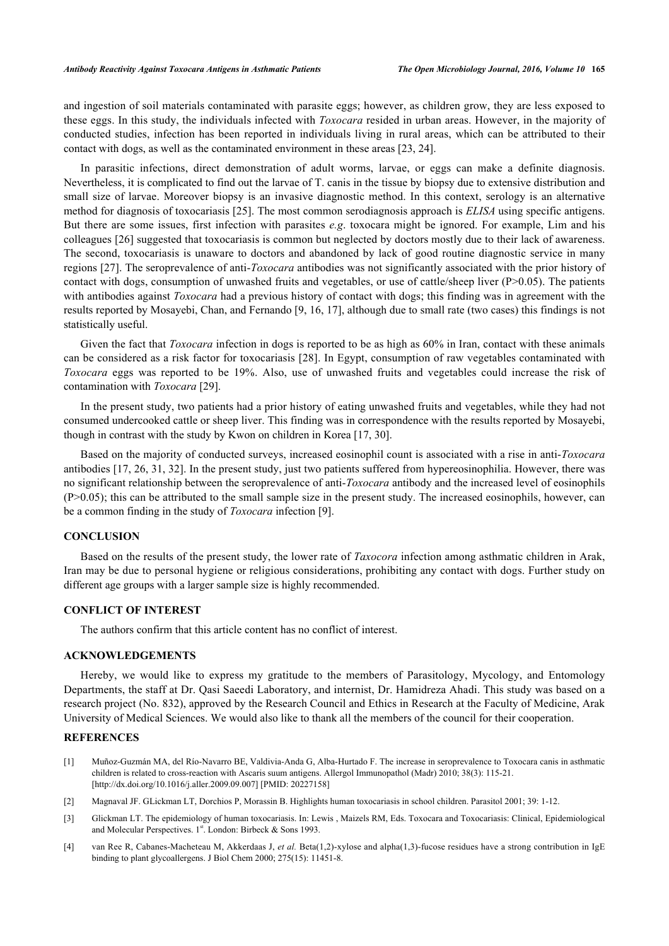and ingestion of soil materials contaminated with parasite eggs; however, as children grow, they are less exposed to these eggs. In this study, the individuals infected with *Toxocara* resided in urban areas. However, in the majority of conducted studies, infection has been reported in individuals living in rural areas, which can be attributed to their contact with dogs, as well as the contaminated environment in these areas [\[23](#page-4-15), [24](#page-4-16)].

In parasitic infections, direct demonstration of adult worms, larvae, or eggs can make a definite diagnosis. Nevertheless, it is complicated to find out the larvae of T. canis in the tissue by biopsy due to extensive distribution and small size of larvae. Moreover biopsy is an invasive diagnostic method. In this context, serology is an alternative method for diagnosis of toxocariasis [\[25\]](#page-4-17). The most common serodiagnosis approach is *ELISA* using specific antigens. But there are some issues, first infection with parasites *e.g*. toxocara might be ignored. For example, Lim and his colleagues [[26\]](#page-5-0) suggested that toxocariasis is common but neglected by doctors mostly due to their lack of awareness. The second, toxocariasis is unaware to doctors and abandoned by lack of good routine diagnostic service in many regions [[27\]](#page-5-1). The seroprevalence of anti-*Toxocara* antibodies was not significantly associated with the prior history of contact with dogs, consumption of unwashed fruits and vegetables, or use of cattle/sheep liver ( $P>0.05$ ). The patients with antibodies against *Toxocara* had a previous history of contact with dogs; this finding was in agreement with the results reported by Mosayebi, Chan, and Fernando [[9,](#page-4-4) [16,](#page-4-11) [17\]](#page-4-12), although due to small rate (two cases) this findings is not statistically useful.

Given the fact that *Toxocara* infection in dogs is reported to be as high as 60% in Iran, contact with these animals can be considered as a risk factor for toxocariasis [\[28](#page-5-2)]. In Egypt, consumption of raw vegetables contaminated with *Toxocara* eggs was reported to be 19%. Also, use of unwashed fruits and vegetables could increase the risk of contamination with *Toxocara* [[29\]](#page-5-3).

In the present study, two patients had a prior history of eating unwashed fruits and vegetables, while they had not consumed undercooked cattle or sheep liver. This finding was in correspondence with the results reported by Mosayebi, though in contrast with the study by Kwon on children in Korea [\[17](#page-4-12), [30](#page-5-4)].

Based on the majority of conducted surveys, increased eosinophil count is associated with a rise in anti-*Toxocara* antibodies [\[17](#page-4-12), [26,](#page-5-0) [31,](#page-5-5) [32](#page-5-6)]. In the present study, just two patients suffered from hypereosinophilia. However, there was no significant relationship between the seroprevalence of anti-*Toxocara* antibody and the increased level of eosinophils (P>0.05); this can be attributed to the small sample size in the present study. The increased eosinophils, however, can be a common finding in the study of *Toxocara* infection [[9\]](#page-4-4).

## **CONCLUSION**

Based on the results of the present study, the lower rate of *Taxocora* infection among asthmatic children in Arak, Iran may be due to personal hygiene or religious considerations, prohibiting any contact with dogs. Further study on different age groups with a larger sample size is highly recommended.

## **CONFLICT OF INTEREST**

The authors confirm that this article content has no conflict of interest.

## **ACKNOWLEDGEMENTS**

Hereby, we would like to express my gratitude to the members of Parasitology, Mycology, and Entomology Departments, the staff at Dr. Qasi Saeedi Laboratory, and internist, Dr. Hamidreza Ahadi. This study was based on a research project (No. 832), approved by the Research Council and Ethics in Research at the Faculty of Medicine, Arak University of Medical Sciences. We would also like to thank all the members of the council for their cooperation.

## **REFERENCES**

- <span id="page-3-0"></span>[1] Muñoz-Guzmán MA, del Río-Navarro BE, Valdivia-Anda G, Alba-Hurtado F. The increase in seroprevalence to Toxocara canis in asthmatic children is related to cross-reaction with Ascaris suum antigens. Allergol Immunopathol (Madr) 2010; 38(3): 115-21. [\[http://dx.doi.org/10.1016/j.aller.2009.09.007](http://dx.doi.org/10.1016/j.aller.2009.09.007)] [PMID: [20227158\]](http://www.ncbi.nlm.nih.gov/pubmed/20227158)
- <span id="page-3-1"></span>[2] Magnaval JF. GLickman LT, Dorchios P, Morassin B. Highlights human toxocariasis in school children. Parasitol 2001; 39: 1-12.
- <span id="page-3-2"></span>[3] Glickman LT. The epidemiology of human toxocariasis. In: Lewis , Maizels RM, Eds. Toxocara and Toxocariasis: Clinical, Epidemiological and Molecular Perspectives. 1st. London: Birbeck & Sons 1993.
- <span id="page-3-3"></span>[4] van Ree R, Cabanes-Macheteau M, Akkerdaas J, *et al.* Beta(1,2)-xylose and alpha(1,3)-fucose residues have a strong contribution in IgE binding to plant glycoallergens. J Biol Chem 2000; 275(15): 11451-8.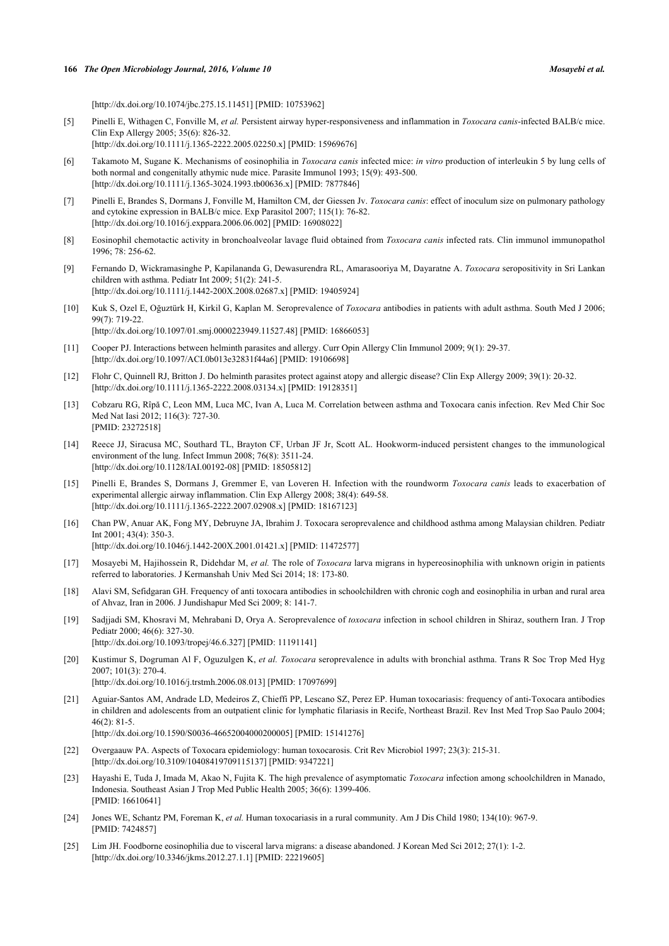[\[http://dx.doi.org/10.1074/jbc.275.15.11451\]](http://dx.doi.org/10.1074/jbc.275.15.11451) [PMID: [10753962](http://www.ncbi.nlm.nih.gov/pubmed/10753962)]

<span id="page-4-0"></span>[5] Pinelli E, Withagen C, Fonville M, *et al.* Persistent airway hyper-responsiveness and inflammation in *Toxocara canis*-infected BALB/c mice. Clin Exp Allergy 2005; 35(6): 826-32.

[\[http://dx.doi.org/10.1111/j.1365-2222.2005.02250.x\]](http://dx.doi.org/10.1111/j.1365-2222.2005.02250.x) [PMID: [15969676](http://www.ncbi.nlm.nih.gov/pubmed/15969676)]

- <span id="page-4-1"></span>[6] Takamoto M, Sugane K. Mechanisms of eosinophilia in *Toxocara canis* infected mice: *in vitro* production of interleukin 5 by lung cells of both normal and congenitally athymic nude mice. Parasite Immunol 1993; 15(9): 493-500. [\[http://dx.doi.org/10.1111/j.1365-3024.1993.tb00636.x\]](http://dx.doi.org/10.1111/j.1365-3024.1993.tb00636.x) [PMID: [7877846](http://www.ncbi.nlm.nih.gov/pubmed/7877846)]
- <span id="page-4-2"></span>[7] Pinelli E, Brandes S, Dormans J, Fonville M, Hamilton CM, der Giessen Jv. *Toxocara canis*: effect of inoculum size on pulmonary pathology and cytokine expression in BALB/c mice. Exp Parasitol 2007; 115(1): 76-82. [\[http://dx.doi.org/10.1016/j.exppara.2006.06.002](http://dx.doi.org/10.1016/j.exppara.2006.06.002)] [PMID: [16908022\]](http://www.ncbi.nlm.nih.gov/pubmed/16908022)
- <span id="page-4-3"></span>[8] Eosinophil chemotactic activity in bronchoalveolar lavage fluid obtained from *Toxocara canis* infected rats. Clin immunol immunopathol 1996; 78: 256-62.
- <span id="page-4-4"></span>[9] Fernando D, Wickramasinghe P, Kapilananda G, Dewasurendra RL, Amarasooriya M, Dayaratne A. *Toxocara* seropositivity in Sri Lankan children with asthma. Pediatr Int 2009; 51(2): 241-5. [\[http://dx.doi.org/10.1111/j.1442-200X.2008.02687.x](http://dx.doi.org/10.1111/j.1442-200X.2008.02687.x)] [PMID: [19405924](http://www.ncbi.nlm.nih.gov/pubmed/19405924)]
- <span id="page-4-5"></span>[10] Kuk S, Ozel E, Oğuztürk H, Kirkil G, Kaplan M. Seroprevalence of *Toxocara* antibodies in patients with adult asthma. South Med J 2006; 99(7): 719-22. [\[http://dx.doi.org/10.1097/01.smj.0000223949.11527.48](http://dx.doi.org/10.1097/01.smj.0000223949.11527.48)] [PMID: [16866053\]](http://www.ncbi.nlm.nih.gov/pubmed/16866053)
- <span id="page-4-6"></span>[11] Cooper PJ. Interactions between helminth parasites and allergy. Curr Opin Allergy Clin Immunol 2009; 9(1): 29-37. [\[http://dx.doi.org/10.1097/ACI.0b013e32831f44a6](http://dx.doi.org/10.1097/ACI.0b013e32831f44a6)] [PMID: [19106698\]](http://www.ncbi.nlm.nih.gov/pubmed/19106698)
- <span id="page-4-7"></span>[12] Flohr C, Quinnell RJ, Britton J. Do helminth parasites protect against atopy and allergic disease? Clin Exp Allergy 2009; 39(1): 20-32. [\[http://dx.doi.org/10.1111/j.1365-2222.2008.03134.x\]](http://dx.doi.org/10.1111/j.1365-2222.2008.03134.x) [PMID: [19128351](http://www.ncbi.nlm.nih.gov/pubmed/19128351)]
- <span id="page-4-8"></span>[13] Cobzaru RG, Rîpă C, Leon MM, Luca MC, Ivan A, Luca M. Correlation between asthma and Toxocara canis infection. Rev Med Chir Soc Med Nat Iasi 2012; 116(3): 727-30. [PMID: [23272518\]](http://www.ncbi.nlm.nih.gov/pubmed/23272518)
- <span id="page-4-9"></span>[14] Reece JJ, Siracusa MC, Southard TL, Brayton CF, Urban JF Jr, Scott AL. Hookworm-induced persistent changes to the immunological environment of the lung. Infect Immun 2008; 76(8): 3511-24. [\[http://dx.doi.org/10.1128/IAI.00192-08\]](http://dx.doi.org/10.1128/IAI.00192-08) [PMID: [18505812](http://www.ncbi.nlm.nih.gov/pubmed/18505812)]
- <span id="page-4-10"></span>[15] Pinelli E, Brandes S, Dormans J, Gremmer E, van Loveren H. Infection with the roundworm *Toxocara canis* leads to exacerbation of experimental allergic airway inflammation. Clin Exp Allergy 2008; 38(4): 649-58. [\[http://dx.doi.org/10.1111/j.1365-2222.2007.02908.x\]](http://dx.doi.org/10.1111/j.1365-2222.2007.02908.x) [PMID: [18167123](http://www.ncbi.nlm.nih.gov/pubmed/18167123)]
- <span id="page-4-11"></span>[16] Chan PW, Anuar AK, Fong MY, Debruyne JA, Ibrahim J. Toxocara seroprevalence and childhood asthma among Malaysian children. Pediatr Int 2001; 43(4): 350-3. [\[http://dx.doi.org/10.1046/j.1442-200X.2001.01421.x](http://dx.doi.org/10.1046/j.1442-200X.2001.01421.x)] [PMID: [11472577](http://www.ncbi.nlm.nih.gov/pubmed/11472577)]
- <span id="page-4-12"></span>[17] Mosayebi M, Hajihossein R, Didehdar M, *et al.* The role of *Toxocara* larva migrans in hypereosinophilia with unknown origin in patients referred to laboratories. J Kermanshah Univ Med Sci 2014; 18: 173-80.
- [18] Alavi SM, Sefidgaran GH. Frequency of anti toxocara antibodies in schoolchildren with chronic cogh and eosinophilia in urban and rural area of Ahvaz, Iran in 2006. J Jundishapur Med Sci 2009; 8: 141-7.
- [19] Sadjjadi SM, Khosravi M, Mehrabani D, Orya A. Seroprevalence of *toxocara* infection in school children in Shiraz, southern Iran. J Trop Pediatr 2000; 46(6): 327-30. [\[http://dx.doi.org/10.1093/tropej/46.6.327\]](http://dx.doi.org/10.1093/tropej/46.6.327) [PMID: [11191141](http://www.ncbi.nlm.nih.gov/pubmed/11191141)]
- [20] Kustimur S, Dogruman Al F, Oguzulgen K, *et al. Toxocara* seroprevalence in adults with bronchial asthma. Trans R Soc Trop Med Hyg 2007; 101(3): 270-4. [\[http://dx.doi.org/10.1016/j.trstmh.2006.08.013](http://dx.doi.org/10.1016/j.trstmh.2006.08.013)] [PMID: [17097699](http://www.ncbi.nlm.nih.gov/pubmed/17097699)]
- <span id="page-4-13"></span>[21] Aguiar-Santos AM, Andrade LD, Medeiros Z, Chieffi PP, Lescano SZ, Perez EP. Human toxocariasis: frequency of anti-Toxocara antibodies in children and adolescents from an outpatient clinic for lymphatic filariasis in Recife, Northeast Brazil. Rev Inst Med Trop Sao Paulo 2004;  $46(2)$ : 81-5
	- [\[http://dx.doi.org/10.1590/S0036-46652004000200005\]](http://dx.doi.org/10.1590/S0036-46652004000200005) [PMID: [15141276](http://www.ncbi.nlm.nih.gov/pubmed/15141276)]
- <span id="page-4-14"></span>[22] Overgaauw PA. Aspects of Toxocara epidemiology: human toxocarosis. Crit Rev Microbiol 1997; 23(3): 215-31. [\[http://dx.doi.org/10.3109/10408419709115137\]](http://dx.doi.org/10.3109/10408419709115137) [PMID: [9347221](http://www.ncbi.nlm.nih.gov/pubmed/9347221)]
- <span id="page-4-15"></span>[23] Hayashi E, Tuda J, Imada M, Akao N, Fujita K. The high prevalence of asymptomatic *Toxocara* infection among schoolchildren in Manado, Indonesia. Southeast Asian J Trop Med Public Health 2005; 36(6): 1399-406. [PMID: [16610641\]](http://www.ncbi.nlm.nih.gov/pubmed/16610641)
- <span id="page-4-16"></span>[24] Jones WE, Schantz PM, Foreman K, *et al.* Human toxocariasis in a rural community. Am J Dis Child 1980; 134(10): 967-9. [PMID: [7424857\]](http://www.ncbi.nlm.nih.gov/pubmed/7424857)
- <span id="page-4-17"></span>[25] Lim JH. Foodborne eosinophilia due to visceral larva migrans: a disease abandoned. J Korean Med Sci 2012; 27(1): 1-2. [\[http://dx.doi.org/10.3346/jkms.2012.27.1.1](http://dx.doi.org/10.3346/jkms.2012.27.1.1)] [PMID: [22219605\]](http://www.ncbi.nlm.nih.gov/pubmed/22219605)